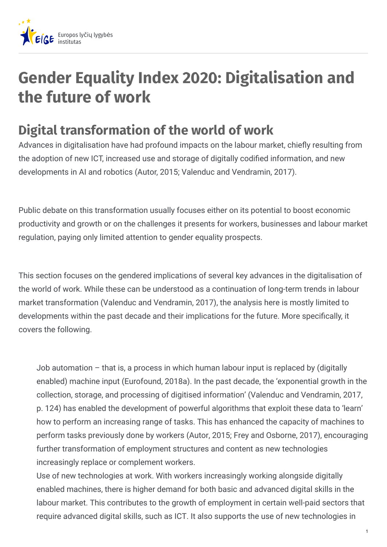

## **Gender Equality Index 2020: Digitalisation and the future of work**

## **Digital transformation of the world of work**

Advances in digitalisation have had profound impacts on the labour market, chiefly resulting from the adoption of new ICT, increased use and storage of digitally codified information, and new developments in AI and robotics (Autor, 2015; Valenduc and Vendramin, 2017).

Public debate on this transformation usually focuses either on its potential to boost economic productivity and growth or on the challenges it presents for workers, businesses and labour market regulation, paying only limited attention to gender equality prospects.

This section focuses on the gendered implications of several key advances in the digitalisation of the world of work. While these can be understood as a continuation of long-term trends in labour market transformation (Valenduc and Vendramin, 2017), the analysis here is mostly limited to developments within the past decade and their implications for the future. More specifically, it covers the following.

Job automation – that is, a process in which human labour input is replaced by (digitally enabled) machine input (Eurofound, 2018a). In the past decade, the 'exponential growth in the collection, storage, and processing of digitised information' (Valenduc and Vendramin, 2017, p. 124) has enabled the development of powerful algorithms that exploit these data to 'learn' how to perform an increasing range of tasks. This has enhanced the capacity of machines to perform tasks previously done by workers (Autor, 2015; Frey and Osborne, 2017), encouraging further transformation of employment structures and content as new technologies increasingly replace or complement workers.

Use of new technologies at work. With workers increasingly working alongside digitally enabled machines, there is higher demand for both basic and advanced digital skills in the labour market. This contributes to the growth of employment in certain well-paid sectors that require advanced digital skills, such as ICT. It also supports the use of new technologies in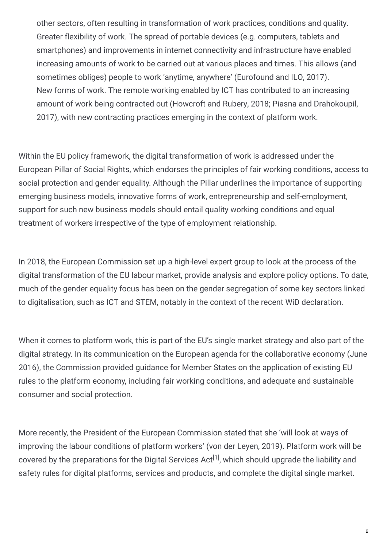other sectors, often resulting in transformation of work practices, conditions and quality. Greater flexibility of work. The spread of portable devices (e.g. computers, tablets and smartphones) and improvements in internet connectivity and infrastructure have enabled increasing amounts of work to be carried out at various places and times. This allows (and sometimes obliges) people to work 'anytime, anywhere' (Eurofound and ILO, 2017). New forms of work. The remote working enabled by ICT has contributed to an increasing amount of work being contracted out (Howcroft and Rubery, 2018; Piasna and Drahokoupil, 2017), with new contracting practices emerging in the context of platform work.

Within the EU policy framework, the digital transformation of work is addressed under the European Pillar of Social Rights, which endorses the principles of fair working conditions, access to social protection and gender equality. Although the Pillar underlines the importance of supporting emerging business models, innovative forms of work, entrepreneurship and self-employment, support for such new business models should entail quality working conditions and equal treatment of workers irrespective of the type of employment relationship.

In 2018, the European Commission set up a high-level expert group to look at the process of the digital transformation of the EU labour market, provide analysis and explore policy options. To date, much of the gender equality focus has been on the gender segregation of some key sectors linked to digitalisation, such as ICT and STEM, notably in the context of the recent WiD declaration.

When it comes to platform work, this is part of the EU's single market strategy and also part of the digital strategy. In its communication on the European agenda for the collaborative economy (June 2016), the Commission provided guidance for Member States on the application of existing EU rules to the platform economy, including fair working conditions, and adequate and sustainable consumer and social protection.

More recently, the President of the European Commission stated that she 'will look at ways of improving the labour conditions of platform workers' (von der Leyen, 2019). Platform work will be covered by the preparations for the Digital Services Act<sup>[1]</sup>, which should upgrade the liability and safety rules for digital platforms, services and products, and complete the digital single market.